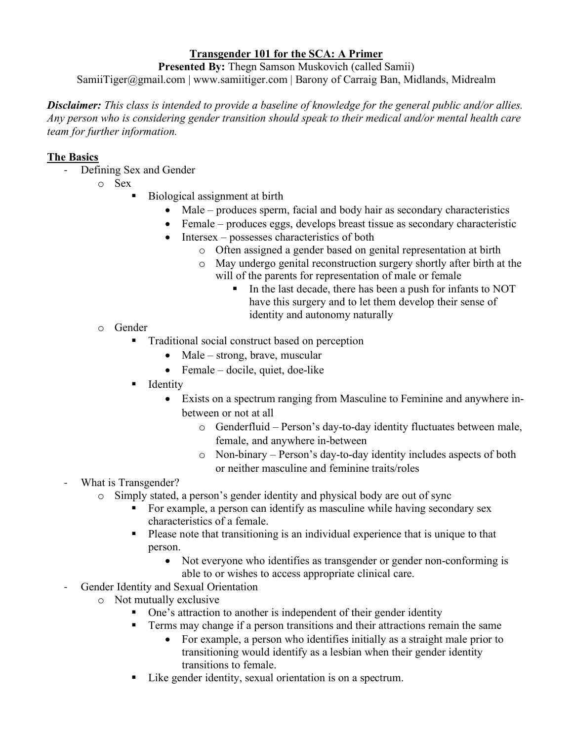### **Transgender 101 for the SCA: A Primer**

**Presented By:** Thegn Samson Muskovich (called Samii)

SamiiTiger@gmail.com | www.samiitiger.com | Barony of Carraig Ban, Midlands, Midrealm

*Disclaimer: This class is intended to provide a baseline of knowledge for the general public and/or allies. Any person who is considering gender transition should speak to their medical and/or mental health care team for further information.*

### **The Basics**

- Defining Sex and Gender
	- o Sex
- Biological assignment at birth
	- Male produces sperm, facial and body hair as secondary characteristics
	- Female produces eggs, develops breast tissue as secondary characteristic
	- Intersex possesses characteristics of both
		- o Often assigned a gender based on genital representation at birth
		- o May undergo genital reconstruction surgery shortly after birth at the will of the parents for representation of male or female
			- In the last decade, there has been a push for infants to NOT have this surgery and to let them develop their sense of identity and autonomy naturally
- o Gender
	- Traditional social construct based on perception
		- Male strong, brave, muscular
		- Female docile, quiet, doe-like
	- **I** Identity
		- Exists on a spectrum ranging from Masculine to Feminine and anywhere inbetween or not at all
			- o Genderfluid Person's day-to-day identity fluctuates between male, female, and anywhere in-between
			- o Non-binary Person's day-to-day identity includes aspects of both or neither masculine and feminine traits/roles
- What is Transgender?
	- o Simply stated, a person's gender identity and physical body are out of sync
		- For example, a person can identify as masculine while having secondary sex characteristics of a female.
		- Please note that transitioning is an individual experience that is unique to that person.
			- Not everyone who identifies as transgender or gender non-conforming is able to or wishes to access appropriate clinical care.
- Gender Identity and Sexual Orientation
	- o Not mutually exclusive
		- One's attraction to another is independent of their gender identity
		- **Terms may change if a person transitions and their attractions remain the same** 
			- For example, a person who identifies initially as a straight male prior to transitioning would identify as a lesbian when their gender identity transitions to female.
		- Like gender identity, sexual orientation is on a spectrum.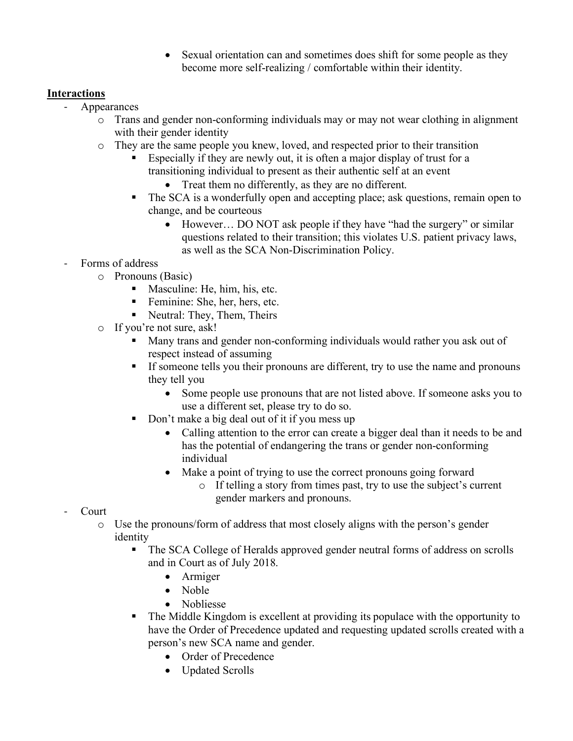Sexual orientation can and sometimes does shift for some people as they become more self-realizing / comfortable within their identity.

# **Interactions**

- **Appearances** 
	- $\circ$  Trans and gender non-conforming individuals may or may not wear clothing in alignment with their gender identity
	- o They are the same people you knew, loved, and respected prior to their transition
		- Especially if they are newly out, it is often a major display of trust for a transitioning individual to present as their authentic self at an event • Treat them no differently, as they are no different.
		- The SCA is a wonderfully open and accepting place; ask questions, remain open to change, and be courteous
			- However... DO NOT ask people if they have "had the surgery" or similar questions related to their transition; this violates U.S. patient privacy laws, as well as the SCA Non-Discrimination Policy.
- Forms of address
	- o Pronouns (Basic)
		- Masculine: He, him, his, etc.
		- Feminine: She, her, hers, etc.
		- Neutral: They, Them, Theirs
	- o If you're not sure, ask!
		- Many trans and gender non-conforming individuals would rather you ask out of respect instead of assuming
		- If some tells you their pronouns are different, try to use the name and pronouns they tell you
			- Some people use pronouns that are not listed above. If someone asks you to use a different set, please try to do so.
		- Don't make a big deal out of it if you mess up
			- Calling attention to the error can create a bigger deal than it needs to be and has the potential of endangering the trans or gender non-conforming individual
			- Make a point of trying to use the correct pronouns going forward
				- o If telling a story from times past, try to use the subject's current gender markers and pronouns.
- Court
	- o Use the pronouns/form of address that most closely aligns with the person's gender identity
		- The SCA College of Heralds approved gender neutral forms of address on scrolls and in Court as of July 2018.
			- Armiger
			- Noble
			- Nobliesse
		- The Middle Kingdom is excellent at providing its populace with the opportunity to have the Order of Precedence updated and requesting updated scrolls created with a person's new SCA name and gender.
			- Order of Precedence
			- Updated Scrolls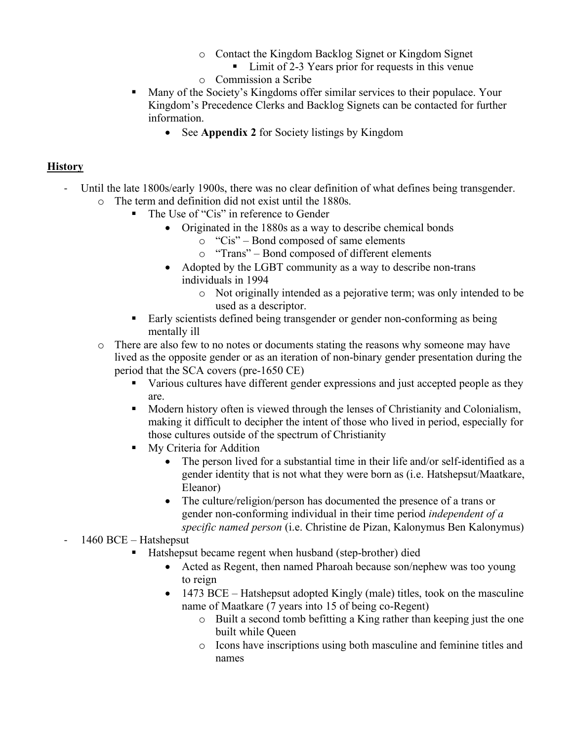- o Contact the Kingdom Backlog Signet or Kingdom Signet
	- Limit of 2-3 Years prior for requests in this venue
- o Commission a Scribe
- Many of the Society's Kingdoms offer similar services to their populace. Your Kingdom's Precedence Clerks and Backlog Signets can be contacted for further information.
	- See **Appendix 2** for Society listings by Kingdom

#### **History**

- Until the late 1800s/early 1900s, there was no clear definition of what defines being transgender.  $\circ$  The term and definition did not exist until the 1880s.<br>  $\bullet$  The Use of "Cis" in reference to Gender
	- The Use of "Cis" in reference to Gender
		- Originated in the 1880s as a way to describe chemical bonds
			- o "Cis" Bond composed of same elements
			- o "Trans" Bond composed of different elements
		- Adopted by the LGBT community as a way to describe non-trans individuals in 1994
			- o Not originally intended as a pejorative term; was only intended to be used as a descriptor.
	- Early scientists defined being transgender or gender non-conforming as being mentally ill
	- o There are also few to no notes or documents stating the reasons why someone may have lived as the opposite gender or as an iteration of non-binary gender presentation during the period that the SCA covers (pre-1650 CE)
		- Various cultures have different gender expressions and just accepted people as they are.
		- Modern history often is viewed through the lenses of Christianity and Colonialism, making it difficult to decipher the intent of those who lived in period, especially for those cultures outside of the spectrum of Christianity
		- **My Criteria for Addition** 
			- The person lived for a substantial time in their life and/or self-identified as a gender identity that is not what they were born as (i.e. Hatshepsut/Maatkare, Eleanor)
			- The culture/religion/person has documented the presence of a trans or gender non-conforming individual in their time period *independent of a specific named person* (i.e. Christine de Pizan, Kalonymus Ben Kalonymus)

- 1460 BCE – Hatshepsut

- Hatshepsut became regent when husband (step-brother) died
	- Acted as Regent, then named Pharoah because son/nephew was too young to reign
	- 1473 BCE Hatshepsut adopted Kingly (male) titles, took on the masculine name of Maatkare (7 years into 15 of being co-Regent)
		- o Built a second tomb befitting a King rather than keeping just the one built while Queen
		- o Icons have inscriptions using both masculine and feminine titles and names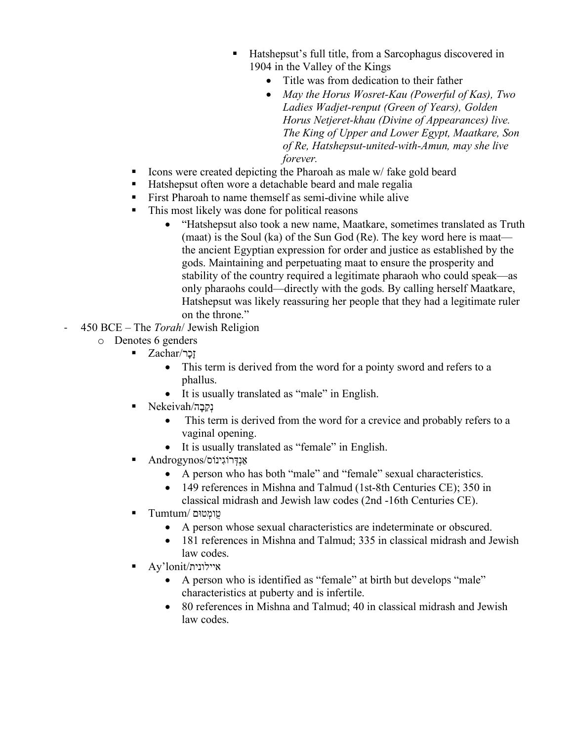- Hatshepsut's full title, from a Sarcophagus discovered in 1904 in the Valley of the Kings
	- Title was from dedication to their father
	- *May the Horus Wosret-Kau (Powerful of Kas), Two Ladies Wadjet-renput (Green of Years), Golden Horus Netjeret-khau (Divine of Appearances) live. The King of Upper and Lower Egypt, Maatkare, Son of Re, Hatshepsut-united-with-Amun, may she live forever.*
- Icons were created depicting the Pharoah as male  $w/$  fake gold beard
- Hatshepsut often wore a detachable beard and male regalia
- **First Pharoah to name themself as semi-divine while alive**
- This most likely was done for political reasons
	- "Hatshepsut also took a new name, Maatkare, sometimes translated as Truth (maat) is the Soul (ka) of the Sun God (Re). The key word here is maat the ancient Egyptian expression for order and justice as established by the gods. Maintaining and perpetuating maat to ensure the prosperity and stability of the country required a legitimate pharaoh who could speak—as only pharaohs could—directly with the gods. By calling herself Maatkare, Hatshepsut was likely reassuring her people that they had a legitimate ruler on the throne."
- 450 BCE The *Torah*/ Jewish Religion
	- o Denotes 6 genders
		- זָכָר/Zachar
			- This term is derived from the word for a pointy sword and refers to a phallus.
			- It is usually translated as "male" in English.
		- נְקֵבָ ה/Nekeivah
			- This term is derived from the word for a crevice and probably refers to a vaginal opening.
			- It is usually translated as "female" in English.
		- אַ נְדְּ רוֹגִינוֹס /Androgynos
			- A person who has both "male" and "female" sexual characteristics.
			- 149 references in Mishna and Talmud (1st-8th Centuries CE); 350 in classical midrash and Jewish law codes (2nd -16th Centuries CE).
		- טֻומְ טוּם /Tumtum
			- A person whose sexual characteristics are indeterminate or obscured.
			- 181 references in Mishna and Talmud; 335 in classical midrash and Jewish law codes.
		- Ay'lonit/איילונית
			- A person who is identified as "female" at birth but develops "male" characteristics at puberty and is infertile.
			- 80 references in Mishna and Talmud; 40 in classical midrash and Jewish law codes.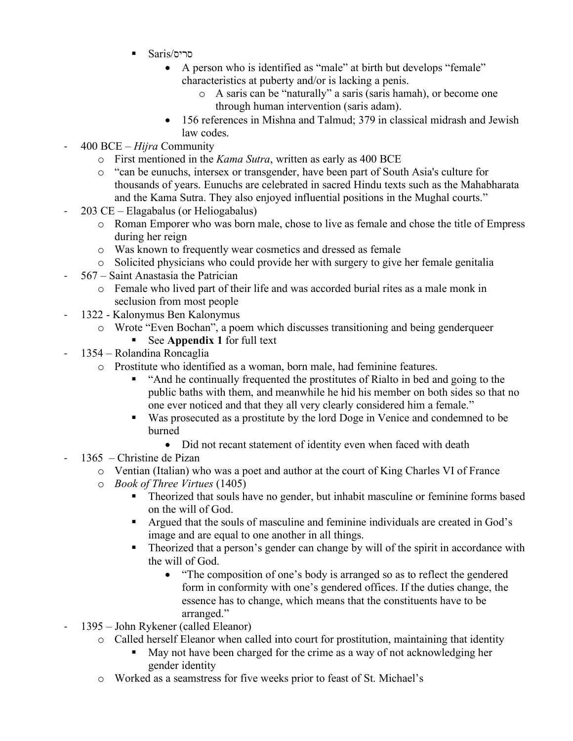- Saris/סריס
	- A person who is identified as "male" at birth but develops "female" characteristics at puberty and/or is lacking a penis.
		- o A saris can be "naturally" a saris (saris hamah), or become one through human intervention (saris adam).
	- 156 references in Mishna and Talmud; 379 in classical midrash and Jewish law codes.
- 400 BCE *Hijra* Community
	- o First mentioned in the *Kama Sutra*, written as early as 400 BCE
	- o "can be eunuchs, intersex or transgender, have been part of South Asia's culture for thousands of years. Eunuchs are celebrated in sacred Hindu texts such as the Mahabharata and the Kama Sutra. They also enjoyed influential positions in the Mughal courts."
- $203$  CE Elagabalus (or Heliogabalus)
	- o Roman Emporer who was born male, chose to live as female and chose the title of Empress during her reign
	- o Was known to frequently wear cosmetics and dressed as female
	- o Solicited physicians who could provide her with surgery to give her female genitalia
- 567 Saint Anastasia the Patrician
	- o Female who lived part of their life and was accorded burial rites as a male monk in seclusion from most people
- 1322 Kalonymus Ben Kalonymus
	- o Wrote "Even Bochan", a poem which discusses transitioning and being genderqueer
		- See **Appendix 1** for full text
	- 1354 Rolandina Roncaglia
		- o Prostitute who identified as a woman, born male, had feminine features.
			- "And he continually frequented the prostitutes of Rialto in bed and going to the public baths with them, and meanwhile he hid his member on both sides so that no one ever noticed and that they all very clearly considered him a female."
			- Was prosecuted as a prostitute by the lord Doge in Venice and condemned to be burned
				- Did not recant statement of identity even when faced with death
- $1365$  Christine de Pizan
	- o Ventian (Italian) who was a poet and author at the court of King Charles VI of France
	- o *Book of Three Virtues* (1405)
		- **Theorized that souls have no gender, but inhabit masculine or feminine forms based** on the will of God.
		- Argued that the souls of masculine and feminine individuals are created in God's image and are equal to one another in all things.
		- Theorized that a person's gender can change by will of the spirit in accordance with the will of God.
			- "The composition of one's body is arranged so as to reflect the gendered form in conformity with one's gendered offices. If the duties change, the essence has to change, which means that the constituents have to be arranged."
- 1395 John Rykener (called Eleanor)
	- o Called herself Eleanor when called into court for prostitution, maintaining that identity
		- May not have been charged for the crime as a way of not acknowledging her gender identity
	- o Worked as a seamstress for five weeks prior to feast of St. Michael's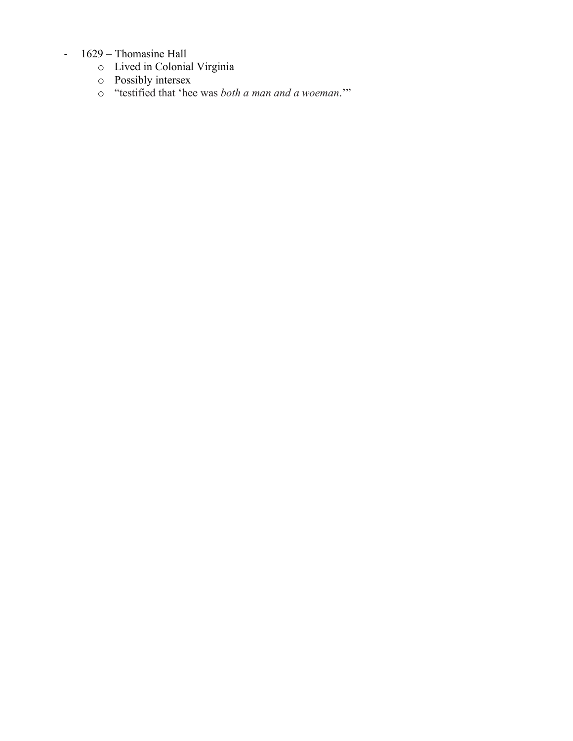# - 1629 – Thomasine Hall

- o Lived in Colonial Virginia
- o Possibly intersex
- o "testified that 'hee was *both a man and a woeman*.'"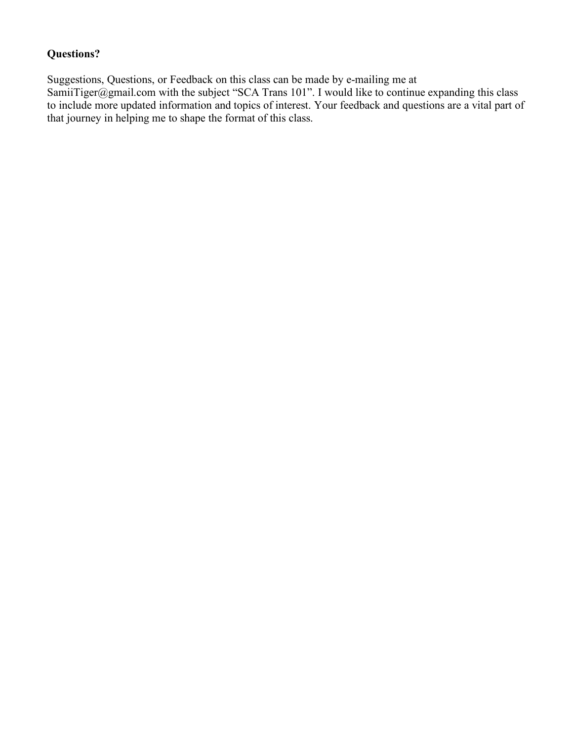# **Questions?**

Suggestions, Questions, or Feedback on this class can be made by e-mailing me at SamiiTiger@gmail.com with the subject "SCA Trans 101". I would like to continue expanding this class to include more updated information and topics of interest. Your feedback and questions are a vital part of that journey in helping me to shape the format of this class.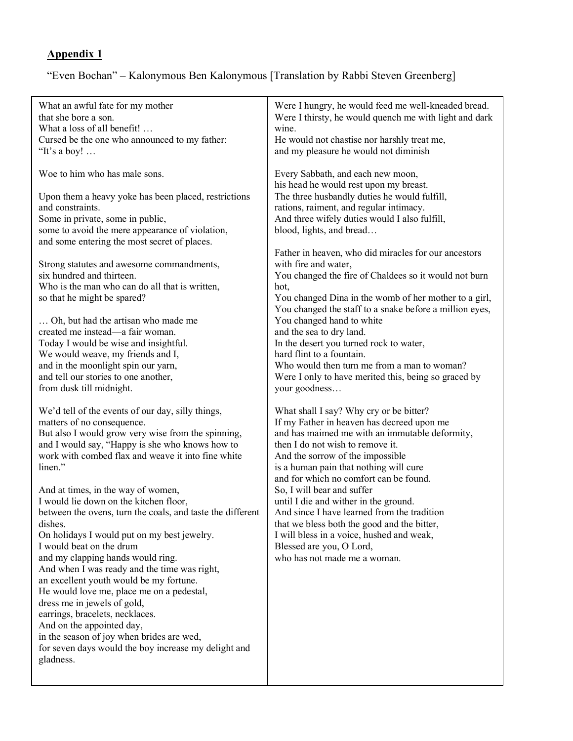# **Appendix 1**

# "Even Bochan" – Kalonymous Ben Kalonymous [Translation by Rabbi Steven Greenberg]

| What an awful fate for my mother                           | Were I hungry, he would feed me well-kneaded bread.     |
|------------------------------------------------------------|---------------------------------------------------------|
| that she bore a son.                                       | Were I thirsty, he would quench me with light and dark  |
| What a loss of all benefit!                                | wine.                                                   |
|                                                            |                                                         |
| Cursed be the one who announced to my father:              | He would not chastise nor harshly treat me,             |
| "It's a boy! $\dots$                                       | and my pleasure he would not diminish                   |
| Woe to him who has male sons.                              | Every Sabbath, and each new moon,                       |
|                                                            | his head he would rest upon my breast.                  |
| Upon them a heavy yoke has been placed, restrictions       | The three husbandly duties he would fulfill,            |
| and constraints.                                           | rations, raiment, and regular intimacy.                 |
| Some in private, some in public,                           | And three wifely duties would I also fulfill,           |
| some to avoid the mere appearance of violation,            | blood, lights, and bread                                |
| and some entering the most secret of places.               |                                                         |
|                                                            | Father in heaven, who did miracles for our ancestors    |
| Strong statutes and awesome commandments,                  | with fire and water,                                    |
| six hundred and thirteen.                                  |                                                         |
|                                                            | You changed the fire of Chaldees so it would not burn   |
| Who is the man who can do all that is written,             | hot,                                                    |
| so that he might be spared?                                | You changed Dina in the womb of her mother to a girl,   |
|                                                            | You changed the staff to a snake before a million eyes, |
| Oh, but had the artisan who made me                        | You changed hand to white                               |
| created me instead—a fair woman.                           | and the sea to dry land.                                |
| Today I would be wise and insightful.                      | In the desert you turned rock to water,                 |
| We would weave, my friends and I,                          | hard flint to a fountain.                               |
| and in the moonlight spin our yarn,                        | Who would then turn me from a man to woman?             |
| and tell our stories to one another,                       | Were I only to have merited this, being so graced by    |
| from dusk till midnight.                                   | your goodness                                           |
| We'd tell of the events of our day, silly things,          | What shall I say? Why cry or be bitter?                 |
| matters of no consequence.                                 | If my Father in heaven has decreed upon me              |
| But also I would grow very wise from the spinning,         | and has maimed me with an immutable deformity,          |
|                                                            |                                                         |
| and I would say, "Happy is she who knows how to            | then I do not wish to remove it.                        |
| work with combed flax and weave it into fine white         | And the sorrow of the impossible                        |
| linen."                                                    | is a human pain that nothing will cure                  |
|                                                            | and for which no comfort can be found.                  |
| And at times, in the way of women,                         | So, I will bear and suffer                              |
| I would lie down on the kitchen floor,                     | until I die and wither in the ground.                   |
| between the ovens, turn the coals, and taste the different | And since I have learned from the tradition             |
| dishes.                                                    | that we bless both the good and the bitter,             |
| On holidays I would put on my best jewelry.                | I will bless in a voice, hushed and weak,               |
| I would beat on the drum                                   | Blessed are you, O Lord,                                |
| and my clapping hands would ring.                          | who has not made me a woman.                            |
| And when I was ready and the time was right,               |                                                         |
| an excellent youth would be my fortune.                    |                                                         |
| He would love me, place me on a pedestal,                  |                                                         |
| dress me in jewels of gold,                                |                                                         |
| earrings, bracelets, necklaces.                            |                                                         |
| And on the appointed day,                                  |                                                         |
| in the season of joy when brides are wed,                  |                                                         |
| for seven days would the boy increase my delight and       |                                                         |
| gladness.                                                  |                                                         |
|                                                            |                                                         |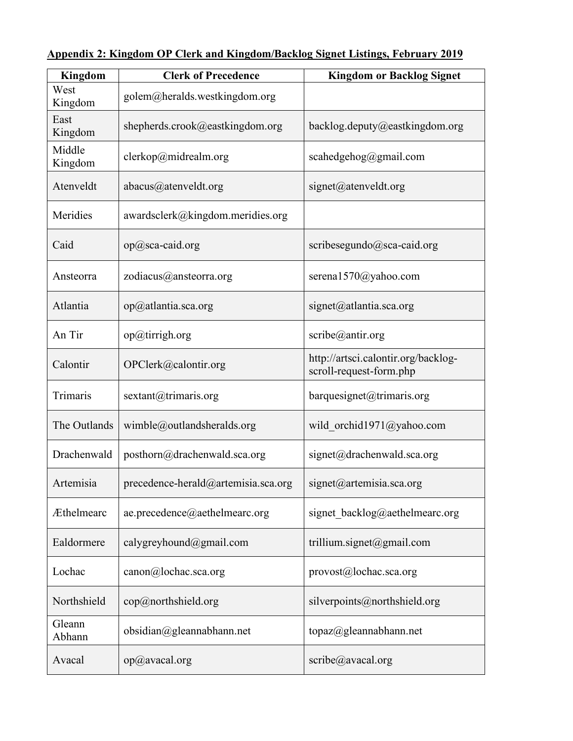| <b>Kingdom</b>    | <b>Clerk of Precedence</b>          | <b>Kingdom or Backlog Signet</b>                               |
|-------------------|-------------------------------------|----------------------------------------------------------------|
| West<br>Kingdom   | golem@heralds.westkingdom.org       |                                                                |
| East<br>Kingdom   | shepherds.crook@eastkingdom.org     | backlog.deputy@eastkingdom.org                                 |
| Middle<br>Kingdom | clerkop@midrealm.org                | scahedgehog@gmail.com                                          |
| Atenveldt         | abacus@atenveldt.org                | signet@atenveldt.org                                           |
| Meridies          | awardsclerk@kingdom.meridies.org    |                                                                |
| Caid              | op@sca-caid.org                     | scribesegundo@sca-caid.org                                     |
| Ansteorra         | zodiacus@ansteorra.org              | serena1570@yahoo.com                                           |
| Atlantia          | op@atlantia.sca.org                 | signet@atlantia.sca.org                                        |
| An Tir            | op@tirrigh.org                      | scribe@antir.org                                               |
| Calontir          | OPClerk@calontir.org                | http://artsci.calontir.org/backlog-<br>scroll-request-form.php |
| Trimaris          | sextant@trimaris.org                | barquesignet@trimaris.org                                      |
| The Outlands      | wimble@outlandsheralds.org          | wild orchid1971@yahoo.com                                      |
| Drachenwald       | posthorn@drachenwald.sca.org        | signet@drachenwald.sca.org                                     |
| Artemisia         | precedence-herald@artemisia.sca.org | signet@artemisia.sca.org                                       |
| Æthelmearc        | ae.precedence@aethelmearc.org       | signet_backlog@aethelmearc.org                                 |
| Ealdormere        | calygreyhound@gmail.com             | trillium.signet@gmail.com                                      |
| Lochac            | canon@lochac.sca.org                | provost@lochac.sca.org                                         |
| Northshield       | cop@northshield.org                 | silverpoints@northshield.org                                   |
| Gleann<br>Abhann  | obsidian@gleannabhann.net           | topaz@gleannabhann.net                                         |
| Avacal            | op@avacal.org                       | scribe@avacal.org                                              |

**Appendix 2: Kingdom OP Clerk and Kingdom/Backlog Signet Listings, February 2019**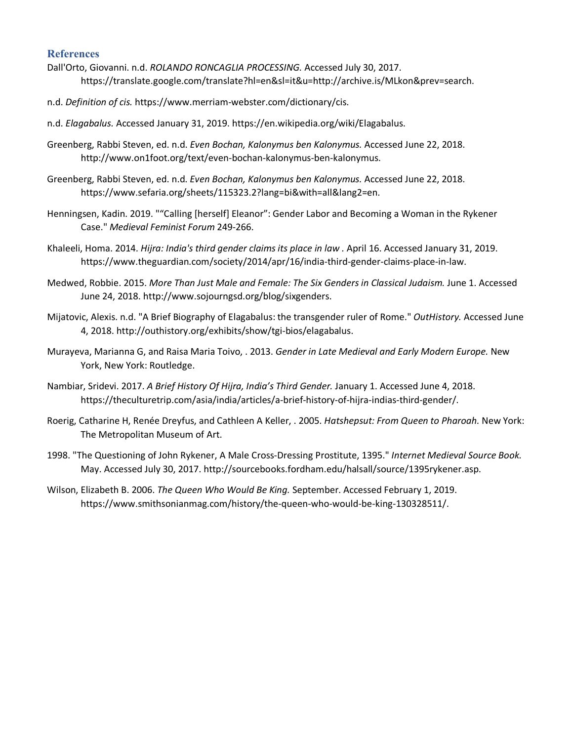#### **References**

- Dall'Orto, Giovanni. n.d. *ROLANDO RONCAGLIA PROCESSING.* Accessed July 30, 2017. https://translate.google.com/translate?hl=en&sl=it&u=http://archive.is/MLkon&prev=search.
- n.d. *Definition of cis.* https://www.merriam-webster.com/dictionary/cis.
- n.d. *Elagabalus.* Accessed January 31, 2019. https://en.wikipedia.org/wiki/Elagabalus.
- Greenberg, Rabbi Steven, ed. n.d. *Even Bochan, Kalonymus ben Kalonymus.* Accessed June 22, 2018. http://www.on1foot.org/text/even-bochan-kalonymus-ben-kalonymus.
- Greenberg, Rabbi Steven, ed. n.d. *Even Bochan, Kalonymus ben Kalonymus.* Accessed June 22, 2018. https://www.sefaria.org/sheets/115323.2?lang=bi&with=all&lang2=en.
- Henningsen, Kadin. 2019. ""Calling [herself] Eleanor": Gender Labor and Becoming a Woman in the Rykener Case." *Medieval Feminist Forum* 249-266.
- Khaleeli, Homa. 2014. *Hijra: India's third gender claims its place in law .* April 16. Accessed January 31, 2019. https://www.theguardian.com/society/2014/apr/16/india-third-gender-claims-place-in-law.
- Medwed, Robbie. 2015. *More Than Just Male and Female: The Six Genders in Classical Judaism.* June 1. Accessed June 24, 2018. http://www.sojourngsd.org/blog/sixgenders.
- Mijatovic, Alexis. n.d. "A Brief Biography of Elagabalus: the transgender ruler of Rome." *OutHistory.* Accessed June 4, 2018. http://outhistory.org/exhibits/show/tgi-bios/elagabalus.
- Murayeva, Marianna G, and Raisa Maria Toivo, . 2013. *Gender in Late Medieval and Early Modern Europe.* New York, New York: Routledge.
- Nambiar, Sridevi. 2017. *A Brief History Of Hijra, India's Third Gender.* January 1. Accessed June 4, 2018. https://theculturetrip.com/asia/india/articles/a-brief-history-of-hijra-indias-third-gender/.
- Roerig, Catharine H, Renée Dreyfus, and Cathleen A Keller, . 2005. *Hatshepsut: From Queen to Pharoah.* New York: The Metropolitan Museum of Art.
- 1998. "The Questioning of John Rykener, A Male Cross-Dressing Prostitute, 1395." *Internet Medieval Source Book.* May. Accessed July 30, 2017. http://sourcebooks.fordham.edu/halsall/source/1395rykener.asp.
- Wilson, Elizabeth B. 2006. *The Queen Who Would Be King.* September. Accessed February 1, 2019. https://www.smithsonianmag.com/history/the-queen-who-would-be-king-130328511/.